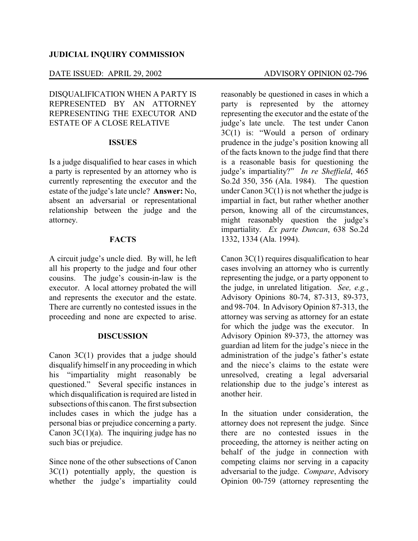# DATE ISSUED: APRIL 29, 2002 ADVISORY OPINION 02-796

DISQUALIFICATION WHEN A PARTY IS REPRESENTED BY AN ATTORNEY REPRESENTING THE EXECUTOR AND ESTATE OF A CLOSE RELATIVE

## **ISSUES**

Is a judge disqualified to hear cases in which a party is represented by an attorney who is currently representing the executor and the estate of the judge's late uncle? **Answer:** No, absent an adversarial or representational relationship between the judge and the attorney.

## **FACTS**

A circuit judge's uncle died. By will, he left all his property to the judge and four other cousins. The judge's cousin-in-law is the executor. A local attorney probated the will and represents the executor and the estate. There are currently no contested issues in the proceeding and none are expected to arise.

## **DISCUSSION**

Canon 3C(1) provides that a judge should disqualify himself in any proceeding in which his "impartiality might reasonably be questioned." Several specific instances in which disqualification is required are listed in subsections of this canon. The first subsection includes cases in which the judge has a personal bias or prejudice concerning a party. Canon  $3C(1)(a)$ . The inquiring judge has no such bias or prejudice.

Since none of the other subsections of Canon  $3C(1)$  potentially apply, the question is whether the judge's impartiality could

reasonably be questioned in cases in which a party is represented by the attorney representing the executor and the estate of the judge's late uncle. The test under Canon 3C(1) is: "Would a person of ordinary prudence in the judge's position knowing all of the facts known to the judge find that there is a reasonable basis for questioning the judge's impartiality?" *In re Sheffield*, 465 So.2d 350, 356 (Ala. 1984). The question under Canon  $3C(1)$  is not whether the judge is impartial in fact, but rather whether another person, knowing all of the circumstances, might reasonably question the judge's impartiality. *Ex parte Duncan*, 638 So.2d 1332, 1334 (Ala. 1994).

Canon 3C(1) requires disqualification to hear cases involving an attorney who is currently representing the judge, or a party opponent to the judge, in unrelated litigation. *See, e.g.*, Advisory Opinions 80-74, 87-313, 89-373, and 98-704. In Advisory Opinion 87-313, the attorney was serving as attorney for an estate for which the judge was the executor. In Advisory Opinion 89-373, the attorney was guardian ad litem for the judge's niece in the administration of the judge's father's estate and the niece's claims to the estate were unresolved, creating a legal adversarial relationship due to the judge's interest as another heir.

In the situation under consideration, the attorney does not represent the judge. Since there are no contested issues in the proceeding, the attorney is neither acting on behalf of the judge in connection with competing claims nor serving in a capacity adversarial to the judge. *Compare*, Advisory Opinion 00-759 (attorney representing the